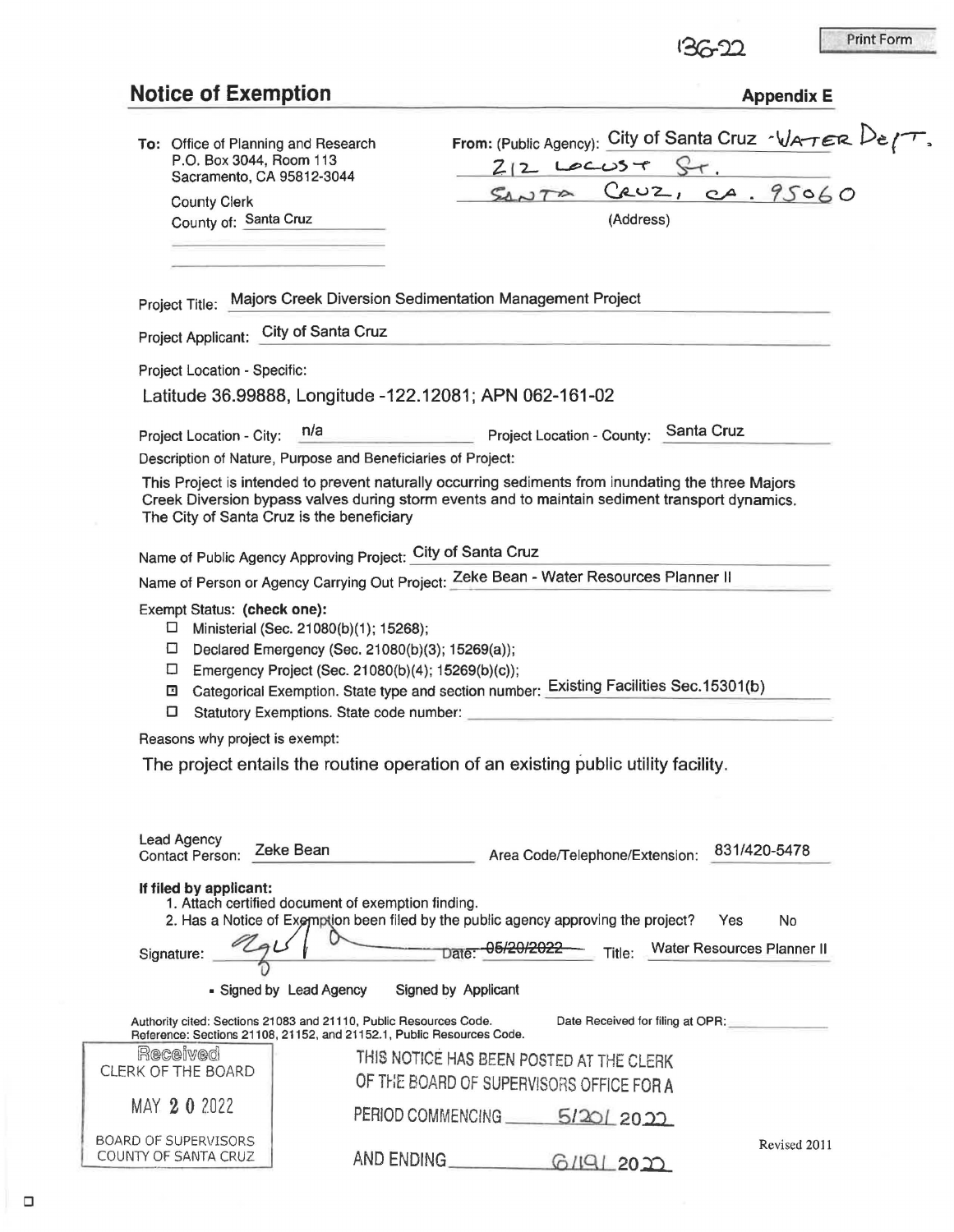|                                                                                                                    |                                                                                                                                                  |                                                                                                                                          |                                                                                                                                                                                                      |                                   | <b>Print Form</b> |  |
|--------------------------------------------------------------------------------------------------------------------|--------------------------------------------------------------------------------------------------------------------------------------------------|------------------------------------------------------------------------------------------------------------------------------------------|------------------------------------------------------------------------------------------------------------------------------------------------------------------------------------------------------|-----------------------------------|-------------------|--|
| <b>Notice of Exemption</b>                                                                                         |                                                                                                                                                  |                                                                                                                                          |                                                                                                                                                                                                      | <b>Appendix E</b>                 |                   |  |
| To: Office of Planning and Research<br>P.O. Box 3044, Room 113<br>Sacramento, CA 95812-3044<br><b>County Clerk</b> |                                                                                                                                                  | From: (Public Agency): City of Santa Cruz $\sqrt{4\pi\epsilon}R$ $\ell\tau$ ,<br>$212$ LOCUST ST.<br>CRUZ, CA. 95060<br>$S_{\Delta}$ NTA |                                                                                                                                                                                                      |                                   |                   |  |
| County of: Santa Cruz                                                                                              |                                                                                                                                                  |                                                                                                                                          |                                                                                                                                                                                                      |                                   |                   |  |
|                                                                                                                    |                                                                                                                                                  |                                                                                                                                          |                                                                                                                                                                                                      |                                   |                   |  |
|                                                                                                                    | Project Title: Majors Creek Diversion Sedimentation Management Project                                                                           |                                                                                                                                          |                                                                                                                                                                                                      |                                   |                   |  |
| Project Applicant: City of Santa Cruz                                                                              |                                                                                                                                                  |                                                                                                                                          |                                                                                                                                                                                                      |                                   |                   |  |
| Project Location - Specific:                                                                                       |                                                                                                                                                  |                                                                                                                                          |                                                                                                                                                                                                      |                                   |                   |  |
|                                                                                                                    | Latitude 36.99888, Longitude -122.12081; APN 062-161-02                                                                                          |                                                                                                                                          |                                                                                                                                                                                                      |                                   |                   |  |
| Project Location - City:                                                                                           | n/a                                                                                                                                              |                                                                                                                                          | Project Location - County:                                                                                                                                                                           | Santa Cruz                        |                   |  |
|                                                                                                                    | Description of Nature, Purpose and Beneficiaries of Project:                                                                                     |                                                                                                                                          |                                                                                                                                                                                                      |                                   |                   |  |
|                                                                                                                    | The City of Santa Cruz is the beneficiary                                                                                                        |                                                                                                                                          | This Project is intended to prevent naturally occurring sediments from inundating the three Majors<br>Creek Diversion bypass valves during storm events and to maintain sediment transport dynamics. |                                   |                   |  |
|                                                                                                                    | Name of Public Agency Approving Project: City of Santa Cruz                                                                                      |                                                                                                                                          |                                                                                                                                                                                                      |                                   |                   |  |
|                                                                                                                    |                                                                                                                                                  |                                                                                                                                          | Name of Person or Agency Carrying Out Project: Zeke Bean - Water Resources Planner II                                                                                                                |                                   |                   |  |
| Exempt Status: (check one):                                                                                        |                                                                                                                                                  |                                                                                                                                          |                                                                                                                                                                                                      |                                   |                   |  |
| $\Box$<br>□<br>□<br>⊡<br>о                                                                                         | Ministerial (Sec. 21080(b)(1); 15268);<br>Declared Emergency (Sec. 21080(b)(3); 15269(a));<br>Emergency Project (Sec. 21080(b)(4); 15269(b)(c)); |                                                                                                                                          | Categorical Exemption. State type and section number: Existing Facilities Sec. 15301(b)                                                                                                              |                                   |                   |  |
| Reasons why project is exempt:                                                                                     | Statutory Exemptions. State code number:                                                                                                         |                                                                                                                                          |                                                                                                                                                                                                      |                                   |                   |  |
| Lead Agency                                                                                                        | Zeke Bean                                                                                                                                        |                                                                                                                                          | The project entails the routine operation of an existing public utility facility.                                                                                                                    | 831/420-5478                      |                   |  |
| Contact Person:<br>If filed by applicant:                                                                          | 1. Attach certified document of exemption finding.                                                                                               |                                                                                                                                          | Area Code/Telephone/Extension:<br>2. Has a Notice of Exemption been filed by the public agency approving the project?                                                                                | Yes<br>No                         |                   |  |
| Signature:                                                                                                         |                                                                                                                                                  |                                                                                                                                          |                                                                                                                                                                                                      | Title: Water Resources Planner II |                   |  |
|                                                                                                                    | - Signed by Lead Agency                                                                                                                          | Signed by Applicant                                                                                                                      |                                                                                                                                                                                                      |                                   |                   |  |
|                                                                                                                    | Authority cited: Sections 21083 and 21110, Public Resources Code.<br>Reference: Sections 21108, 21152, and 21152.1, Public Resources Code.       |                                                                                                                                          | Date Received for filing at OPR:                                                                                                                                                                     |                                   |                   |  |
| Received                                                                                                           |                                                                                                                                                  |                                                                                                                                          | THIS NOTICE HAS BEEN POSTED AT THE CLERK                                                                                                                                                             |                                   |                   |  |
| CLERK OF THE BOARD<br>MAY 2 0 2022                                                                                 |                                                                                                                                                  |                                                                                                                                          | OF THE BOARD OF SUPERVISORS OFFICE FOR A<br>PERIOD COMMENCING 5/201 2022                                                                                                                             |                                   |                   |  |